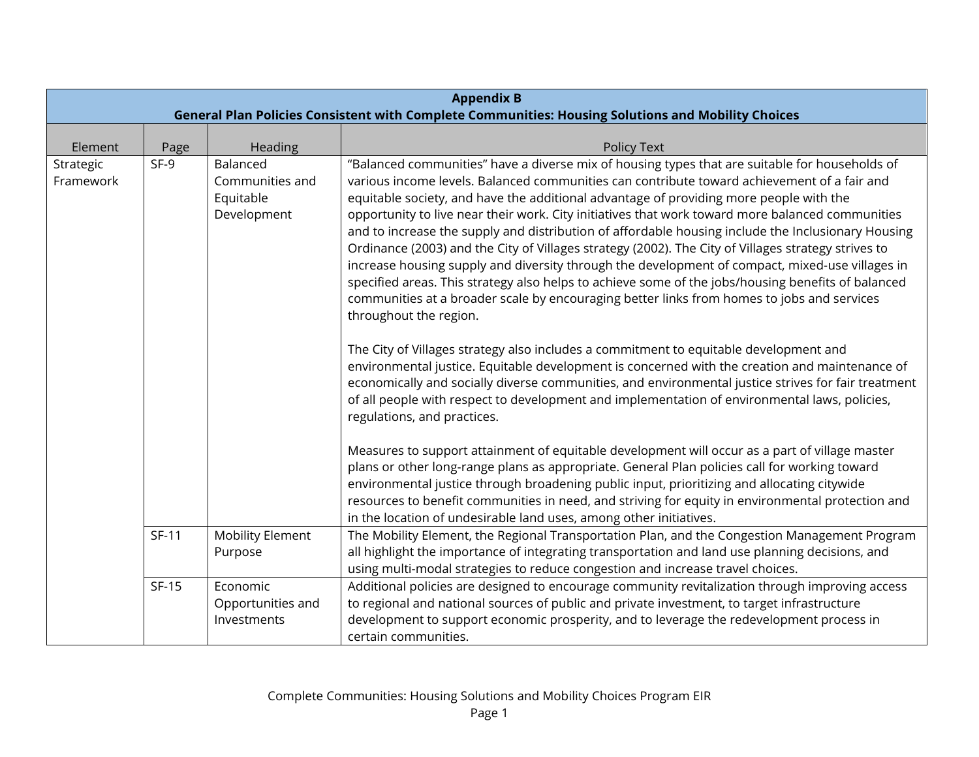|                        | <b>Appendix B</b>                                                                                  |                                                         |                                                                                                                                                                                                                                                                                                                                                                                                                                                                                                                                                                                                                                                                                                                                                                                                                                                                                                                                           |  |
|------------------------|----------------------------------------------------------------------------------------------------|---------------------------------------------------------|-------------------------------------------------------------------------------------------------------------------------------------------------------------------------------------------------------------------------------------------------------------------------------------------------------------------------------------------------------------------------------------------------------------------------------------------------------------------------------------------------------------------------------------------------------------------------------------------------------------------------------------------------------------------------------------------------------------------------------------------------------------------------------------------------------------------------------------------------------------------------------------------------------------------------------------------|--|
|                        | General Plan Policies Consistent with Complete Communities: Housing Solutions and Mobility Choices |                                                         |                                                                                                                                                                                                                                                                                                                                                                                                                                                                                                                                                                                                                                                                                                                                                                                                                                                                                                                                           |  |
| Element                | Page                                                                                               | Heading                                                 | <b>Policy Text</b>                                                                                                                                                                                                                                                                                                                                                                                                                                                                                                                                                                                                                                                                                                                                                                                                                                                                                                                        |  |
| Strategic<br>Framework | $SF-9$                                                                                             | Balanced<br>Communities and<br>Equitable<br>Development | "Balanced communities" have a diverse mix of housing types that are suitable for households of<br>various income levels. Balanced communities can contribute toward achievement of a fair and<br>equitable society, and have the additional advantage of providing more people with the<br>opportunity to live near their work. City initiatives that work toward more balanced communities<br>and to increase the supply and distribution of affordable housing include the Inclusionary Housing<br>Ordinance (2003) and the City of Villages strategy (2002). The City of Villages strategy strives to<br>increase housing supply and diversity through the development of compact, mixed-use villages in<br>specified areas. This strategy also helps to achieve some of the jobs/housing benefits of balanced<br>communities at a broader scale by encouraging better links from homes to jobs and services<br>throughout the region. |  |
|                        |                                                                                                    |                                                         | The City of Villages strategy also includes a commitment to equitable development and<br>environmental justice. Equitable development is concerned with the creation and maintenance of<br>economically and socially diverse communities, and environmental justice strives for fair treatment<br>of all people with respect to development and implementation of environmental laws, policies,<br>regulations, and practices.                                                                                                                                                                                                                                                                                                                                                                                                                                                                                                            |  |
|                        |                                                                                                    |                                                         | Measures to support attainment of equitable development will occur as a part of village master<br>plans or other long-range plans as appropriate. General Plan policies call for working toward<br>environmental justice through broadening public input, prioritizing and allocating citywide<br>resources to benefit communities in need, and striving for equity in environmental protection and<br>in the location of undesirable land uses, among other initiatives.                                                                                                                                                                                                                                                                                                                                                                                                                                                                 |  |
|                        | $SF-11$                                                                                            | <b>Mobility Element</b><br>Purpose                      | The Mobility Element, the Regional Transportation Plan, and the Congestion Management Program<br>all highlight the importance of integrating transportation and land use planning decisions, and<br>using multi-modal strategies to reduce congestion and increase travel choices.                                                                                                                                                                                                                                                                                                                                                                                                                                                                                                                                                                                                                                                        |  |
|                        | <b>SF-15</b>                                                                                       | Economic<br>Opportunities and<br>Investments            | Additional policies are designed to encourage community revitalization through improving access<br>to regional and national sources of public and private investment, to target infrastructure<br>development to support economic prosperity, and to leverage the redevelopment process in<br>certain communities.                                                                                                                                                                                                                                                                                                                                                                                                                                                                                                                                                                                                                        |  |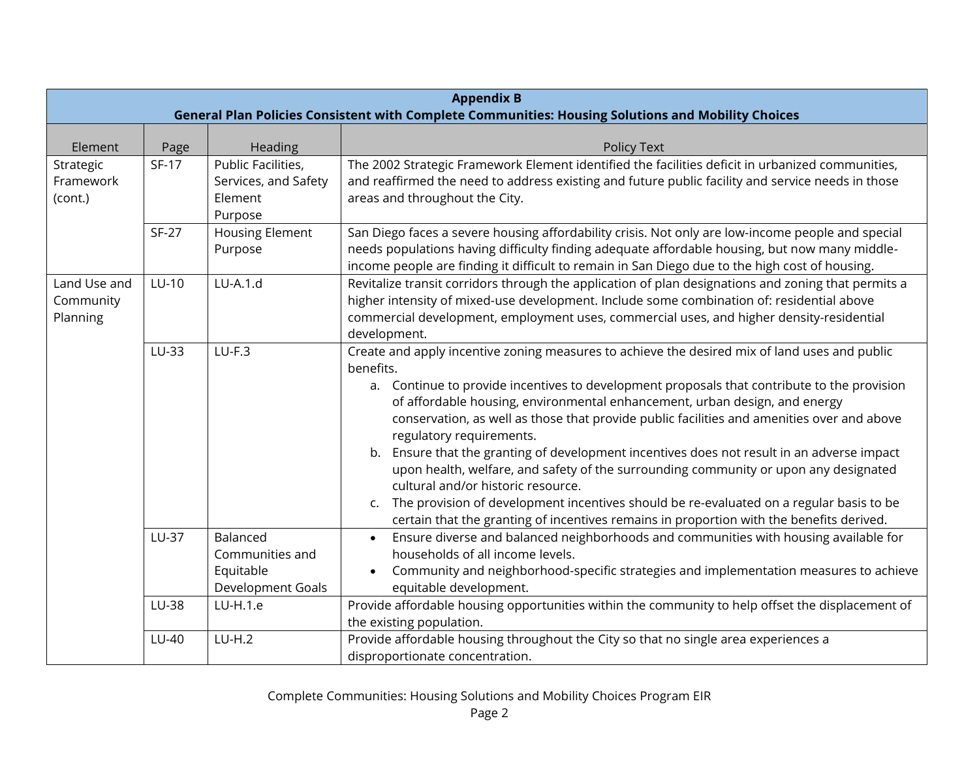|                                       | <b>Appendix B</b><br>General Plan Policies Consistent with Complete Communities: Housing Solutions and Mobility Choices |                                                                           |                                                                                                                                                                                                                                                                                                                                                                                                                                                                                                                                                                                                                                                                                                                                                                                                                                            |  |
|---------------------------------------|-------------------------------------------------------------------------------------------------------------------------|---------------------------------------------------------------------------|--------------------------------------------------------------------------------------------------------------------------------------------------------------------------------------------------------------------------------------------------------------------------------------------------------------------------------------------------------------------------------------------------------------------------------------------------------------------------------------------------------------------------------------------------------------------------------------------------------------------------------------------------------------------------------------------------------------------------------------------------------------------------------------------------------------------------------------------|--|
| Element                               | Page                                                                                                                    | Heading                                                                   | Policy Text                                                                                                                                                                                                                                                                                                                                                                                                                                                                                                                                                                                                                                                                                                                                                                                                                                |  |
| Strategic<br>Framework<br>(cont.)     | $SF-17$                                                                                                                 | Public Facilities,<br>Services, and Safety<br>Element<br>Purpose          | The 2002 Strategic Framework Element identified the facilities deficit in urbanized communities,<br>and reaffirmed the need to address existing and future public facility and service needs in those<br>areas and throughout the City.                                                                                                                                                                                                                                                                                                                                                                                                                                                                                                                                                                                                    |  |
|                                       | <b>SF-27</b>                                                                                                            | <b>Housing Element</b><br>Purpose                                         | San Diego faces a severe housing affordability crisis. Not only are low-income people and special<br>needs populations having difficulty finding adequate affordable housing, but now many middle-<br>income people are finding it difficult to remain in San Diego due to the high cost of housing.                                                                                                                                                                                                                                                                                                                                                                                                                                                                                                                                       |  |
| Land Use and<br>Community<br>Planning | LU-10                                                                                                                   | $LU-A.1.d$                                                                | Revitalize transit corridors through the application of plan designations and zoning that permits a<br>higher intensity of mixed-use development. Include some combination of: residential above<br>commercial development, employment uses, commercial uses, and higher density-residential<br>development.                                                                                                                                                                                                                                                                                                                                                                                                                                                                                                                               |  |
|                                       | LU-33                                                                                                                   | $LU-F.3$                                                                  | Create and apply incentive zoning measures to achieve the desired mix of land uses and public<br>benefits.<br>a. Continue to provide incentives to development proposals that contribute to the provision<br>of affordable housing, environmental enhancement, urban design, and energy<br>conservation, as well as those that provide public facilities and amenities over and above<br>regulatory requirements.<br>b. Ensure that the granting of development incentives does not result in an adverse impact<br>upon health, welfare, and safety of the surrounding community or upon any designated<br>cultural and/or historic resource.<br>The provision of development incentives should be re-evaluated on a regular basis to be<br>C.<br>certain that the granting of incentives remains in proportion with the benefits derived. |  |
|                                       | <b>LU-37</b><br>LU-38                                                                                                   | Balanced<br>Communities and<br>Equitable<br>Development Goals<br>LU-H.1.e | Ensure diverse and balanced neighborhoods and communities with housing available for<br>$\bullet$<br>households of all income levels.<br>Community and neighborhood-specific strategies and implementation measures to achieve<br>equitable development.<br>Provide affordable housing opportunities within the community to help offset the displacement of                                                                                                                                                                                                                                                                                                                                                                                                                                                                               |  |
|                                       | LU-40                                                                                                                   | $LU-H.2$                                                                  | the existing population.<br>Provide affordable housing throughout the City so that no single area experiences a<br>disproportionate concentration.                                                                                                                                                                                                                                                                                                                                                                                                                                                                                                                                                                                                                                                                                         |  |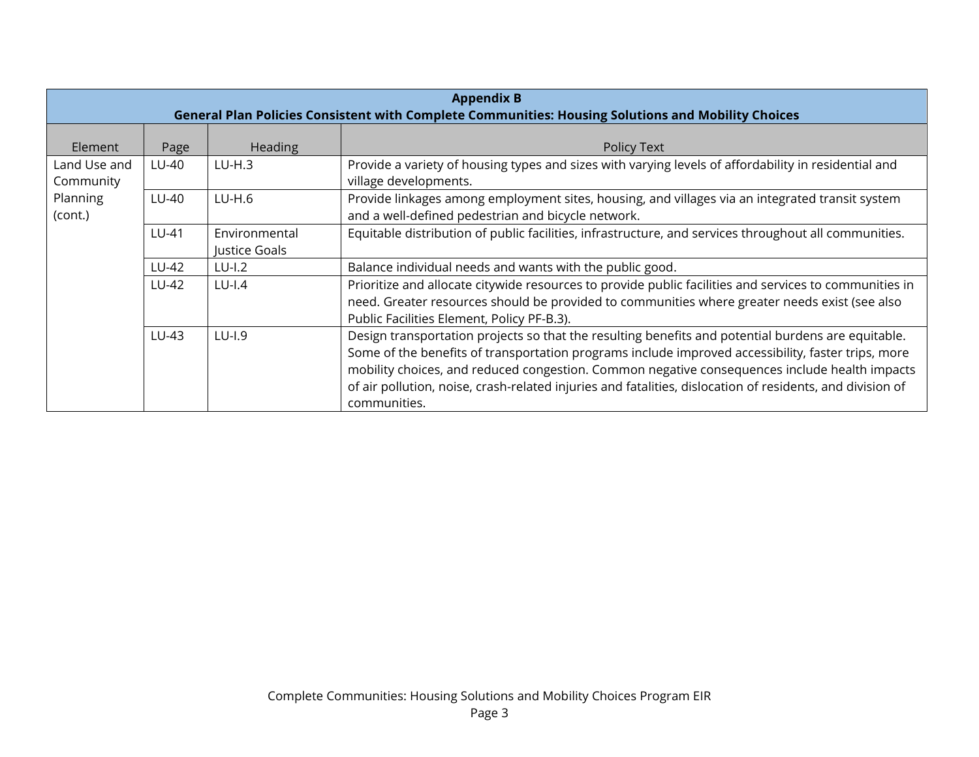|                                                  | <b>Appendix B</b><br>General Plan Policies Consistent with Complete Communities: Housing Solutions and Mobility Choices |                                |                                                                                                                                                                                                                                                                                                                                                                                                                                        |  |
|--------------------------------------------------|-------------------------------------------------------------------------------------------------------------------------|--------------------------------|----------------------------------------------------------------------------------------------------------------------------------------------------------------------------------------------------------------------------------------------------------------------------------------------------------------------------------------------------------------------------------------------------------------------------------------|--|
| Element                                          | Page                                                                                                                    | Heading                        | Policy Text                                                                                                                                                                                                                                                                                                                                                                                                                            |  |
| Land Use and<br>Community<br>Planning<br>(cont.) | LU-40                                                                                                                   | $LU-H.3$                       | Provide a variety of housing types and sizes with varying levels of affordability in residential and<br>village developments.                                                                                                                                                                                                                                                                                                          |  |
|                                                  | LU-40                                                                                                                   | $LU-H.6$                       | Provide linkages among employment sites, housing, and villages via an integrated transit system<br>and a well-defined pedestrian and bicycle network.                                                                                                                                                                                                                                                                                  |  |
|                                                  | LU-41                                                                                                                   | Environmental<br>Justice Goals | Equitable distribution of public facilities, infrastructure, and services throughout all communities.                                                                                                                                                                                                                                                                                                                                  |  |
|                                                  | LU-42                                                                                                                   | $LU$ -I.2                      | Balance individual needs and wants with the public good.                                                                                                                                                                                                                                                                                                                                                                               |  |
|                                                  | LU-42                                                                                                                   | $LU$ -I.4                      | Prioritize and allocate citywide resources to provide public facilities and services to communities in<br>need. Greater resources should be provided to communities where greater needs exist (see also<br>Public Facilities Element, Policy PF-B.3).                                                                                                                                                                                  |  |
|                                                  | LU-43                                                                                                                   | $LU$ -I.9                      | Design transportation projects so that the resulting benefits and potential burdens are equitable.<br>Some of the benefits of transportation programs include improved accessibility, faster trips, more<br>mobility choices, and reduced congestion. Common negative consequences include health impacts<br>of air pollution, noise, crash-related injuries and fatalities, dislocation of residents, and division of<br>communities. |  |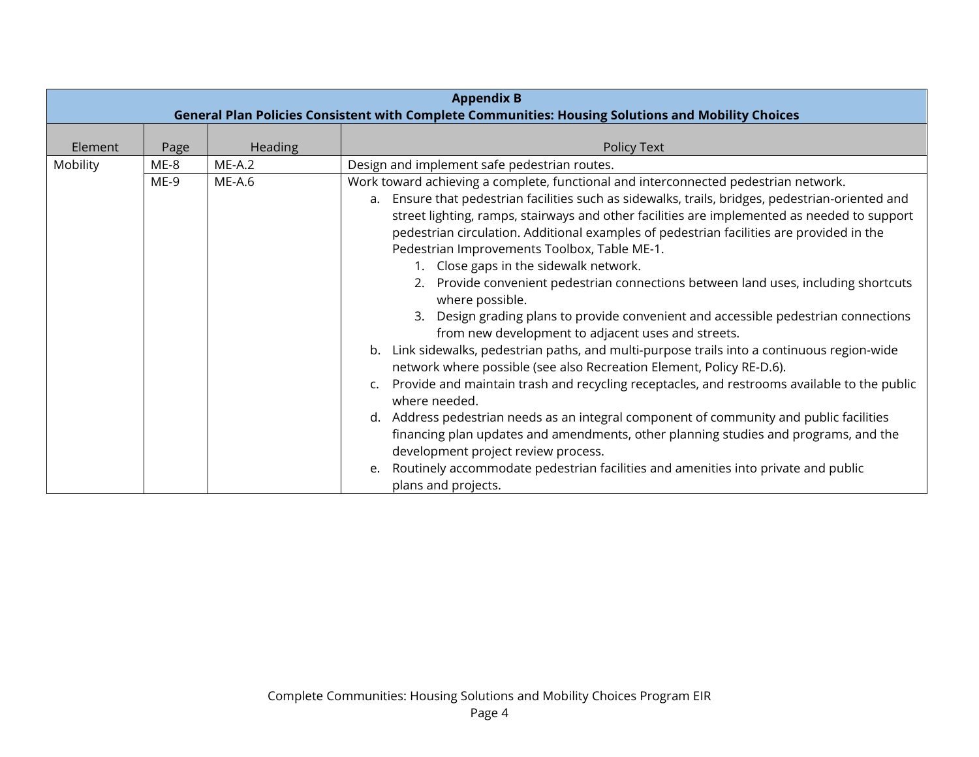|          |        |                | <b>Appendix B</b><br>General Plan Policies Consistent with Complete Communities: Housing Solutions and Mobility Choices                                                                                                                                                                                                                                                                                                                                                                                                                                                                                                                                                                                                                                                                                                                                                                                                                                                                                                                                                                                                                                                                                                                                                                                                                                                        |
|----------|--------|----------------|--------------------------------------------------------------------------------------------------------------------------------------------------------------------------------------------------------------------------------------------------------------------------------------------------------------------------------------------------------------------------------------------------------------------------------------------------------------------------------------------------------------------------------------------------------------------------------------------------------------------------------------------------------------------------------------------------------------------------------------------------------------------------------------------------------------------------------------------------------------------------------------------------------------------------------------------------------------------------------------------------------------------------------------------------------------------------------------------------------------------------------------------------------------------------------------------------------------------------------------------------------------------------------------------------------------------------------------------------------------------------------|
| Element  | Page   | <b>Heading</b> | Policy Text                                                                                                                                                                                                                                                                                                                                                                                                                                                                                                                                                                                                                                                                                                                                                                                                                                                                                                                                                                                                                                                                                                                                                                                                                                                                                                                                                                    |
| Mobility | ME-8   | $ME-A.2$       | Design and implement safe pedestrian routes.                                                                                                                                                                                                                                                                                                                                                                                                                                                                                                                                                                                                                                                                                                                                                                                                                                                                                                                                                                                                                                                                                                                                                                                                                                                                                                                                   |
|          | $ME-9$ | $ME-A.6$       | Work toward achieving a complete, functional and interconnected pedestrian network.<br>a. Ensure that pedestrian facilities such as sidewalks, trails, bridges, pedestrian-oriented and<br>street lighting, ramps, stairways and other facilities are implemented as needed to support<br>pedestrian circulation. Additional examples of pedestrian facilities are provided in the<br>Pedestrian Improvements Toolbox, Table ME-1.<br>1. Close gaps in the sidewalk network.<br>2. Provide convenient pedestrian connections between land uses, including shortcuts<br>where possible.<br>3. Design grading plans to provide convenient and accessible pedestrian connections<br>from new development to adjacent uses and streets.<br>Link sidewalks, pedestrian paths, and multi-purpose trails into a continuous region-wide<br>b.<br>network where possible (see also Recreation Element, Policy RE-D.6).<br>Provide and maintain trash and recycling receptacles, and restrooms available to the public<br>c.<br>where needed.<br>d. Address pedestrian needs as an integral component of community and public facilities<br>financing plan updates and amendments, other planning studies and programs, and the<br>development project review process.<br>Routinely accommodate pedestrian facilities and amenities into private and public<br>e.<br>plans and projects. |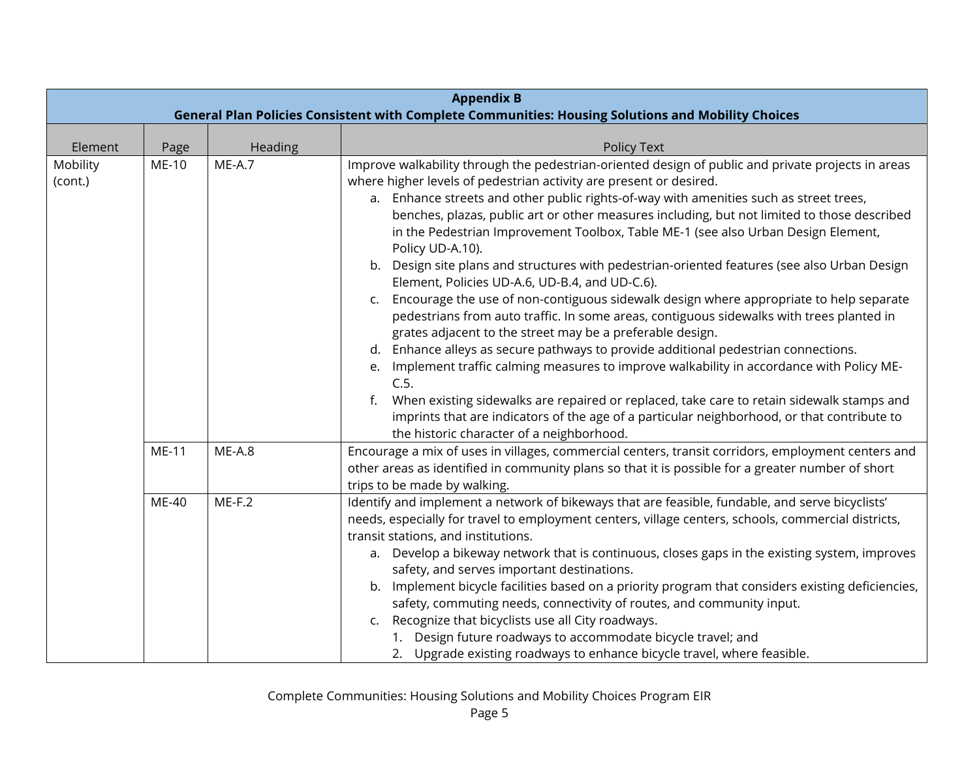|                     | <b>Appendix B</b><br>General Plan Policies Consistent with Complete Communities: Housing Solutions and Mobility Choices |          |                                                                                                                                                                                                                                                                                                                                                                                                                                                                                                                                                                                                                                                                                                                                                                                                                                                                                                                                                                                                                                                                                                                                                                                      |  |
|---------------------|-------------------------------------------------------------------------------------------------------------------------|----------|--------------------------------------------------------------------------------------------------------------------------------------------------------------------------------------------------------------------------------------------------------------------------------------------------------------------------------------------------------------------------------------------------------------------------------------------------------------------------------------------------------------------------------------------------------------------------------------------------------------------------------------------------------------------------------------------------------------------------------------------------------------------------------------------------------------------------------------------------------------------------------------------------------------------------------------------------------------------------------------------------------------------------------------------------------------------------------------------------------------------------------------------------------------------------------------|--|
|                     |                                                                                                                         |          |                                                                                                                                                                                                                                                                                                                                                                                                                                                                                                                                                                                                                                                                                                                                                                                                                                                                                                                                                                                                                                                                                                                                                                                      |  |
| Element             | Page                                                                                                                    | Heading  | Policy Text                                                                                                                                                                                                                                                                                                                                                                                                                                                                                                                                                                                                                                                                                                                                                                                                                                                                                                                                                                                                                                                                                                                                                                          |  |
| Mobility<br>(cont.) | ME-10                                                                                                                   | $ME-A.7$ | Improve walkability through the pedestrian-oriented design of public and private projects in areas<br>where higher levels of pedestrian activity are present or desired.<br>a. Enhance streets and other public rights-of-way with amenities such as street trees,<br>benches, plazas, public art or other measures including, but not limited to those described<br>in the Pedestrian Improvement Toolbox, Table ME-1 (see also Urban Design Element,<br>Policy UD-A.10).<br>b. Design site plans and structures with pedestrian-oriented features (see also Urban Design<br>Element, Policies UD-A.6, UD-B.4, and UD-C.6).<br>Encourage the use of non-contiguous sidewalk design where appropriate to help separate<br>c.<br>pedestrians from auto traffic. In some areas, contiguous sidewalks with trees planted in<br>grates adjacent to the street may be a preferable design.<br>Enhance alleys as secure pathways to provide additional pedestrian connections.<br>d.<br>Implement traffic calming measures to improve walkability in accordance with Policy ME-<br>e.<br>C.5.<br>When existing sidewalks are repaired or replaced, take care to retain sidewalk stamps and |  |
|                     |                                                                                                                         |          | imprints that are indicators of the age of a particular neighborhood, or that contribute to                                                                                                                                                                                                                                                                                                                                                                                                                                                                                                                                                                                                                                                                                                                                                                                                                                                                                                                                                                                                                                                                                          |  |
|                     | ME-11                                                                                                                   | $ME-A.8$ | the historic character of a neighborhood.<br>Encourage a mix of uses in villages, commercial centers, transit corridors, employment centers and<br>other areas as identified in community plans so that it is possible for a greater number of short<br>trips to be made by walking.                                                                                                                                                                                                                                                                                                                                                                                                                                                                                                                                                                                                                                                                                                                                                                                                                                                                                                 |  |
|                     | ME-40                                                                                                                   | $ME-F.2$ | Identify and implement a network of bikeways that are feasible, fundable, and serve bicyclists'<br>needs, especially for travel to employment centers, village centers, schools, commercial districts,<br>transit stations, and institutions.<br>a. Develop a bikeway network that is continuous, closes gaps in the existing system, improves<br>safety, and serves important destinations.<br>b. Implement bicycle facilities based on a priority program that considers existing deficiencies,<br>safety, commuting needs, connectivity of routes, and community input.<br>Recognize that bicyclists use all City roadways.<br>$\mathsf{C}$ .<br>1. Design future roadways to accommodate bicycle travel; and<br>2. Upgrade existing roadways to enhance bicycle travel, where feasible.                                                                                                                                                                                                                                                                                                                                                                                          |  |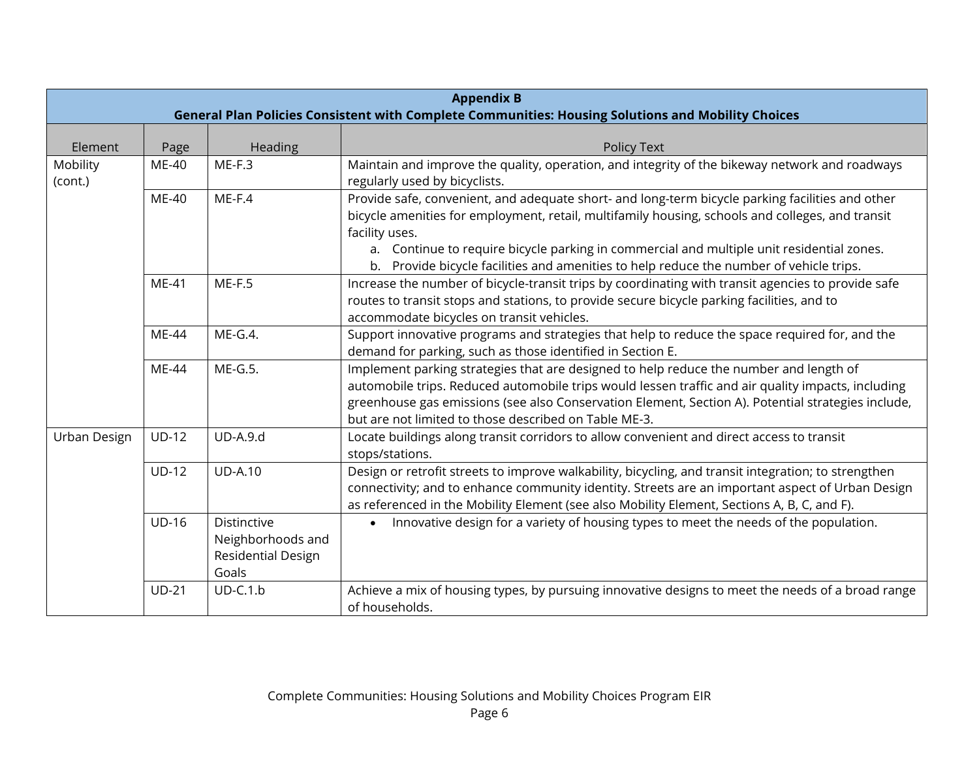|                     | <b>Appendix B</b><br>General Plan Policies Consistent with Complete Communities: Housing Solutions and Mobility Choices |                                                                 |                                                                                                                                                                                                                                                                                                                                                             |  |
|---------------------|-------------------------------------------------------------------------------------------------------------------------|-----------------------------------------------------------------|-------------------------------------------------------------------------------------------------------------------------------------------------------------------------------------------------------------------------------------------------------------------------------------------------------------------------------------------------------------|--|
| Element             |                                                                                                                         | Heading                                                         | Policy Text                                                                                                                                                                                                                                                                                                                                                 |  |
| Mobility<br>(cont.) | Page<br>ME-40                                                                                                           | $ME-F.3$                                                        | Maintain and improve the quality, operation, and integrity of the bikeway network and roadways<br>regularly used by bicyclists.                                                                                                                                                                                                                             |  |
|                     | ME-40                                                                                                                   | $ME-F.4$                                                        | Provide safe, convenient, and adequate short- and long-term bicycle parking facilities and other<br>bicycle amenities for employment, retail, multifamily housing, schools and colleges, and transit<br>facility uses.<br>a. Continue to require bicycle parking in commercial and multiple unit residential zones.                                         |  |
|                     |                                                                                                                         |                                                                 | b. Provide bicycle facilities and amenities to help reduce the number of vehicle trips.                                                                                                                                                                                                                                                                     |  |
|                     | ME-41                                                                                                                   | $ME-F.5$                                                        | Increase the number of bicycle-transit trips by coordinating with transit agencies to provide safe<br>routes to transit stops and stations, to provide secure bicycle parking facilities, and to<br>accommodate bicycles on transit vehicles.                                                                                                               |  |
|                     | <b>ME-44</b>                                                                                                            | $ME-G.4.$                                                       | Support innovative programs and strategies that help to reduce the space required for, and the<br>demand for parking, such as those identified in Section E.                                                                                                                                                                                                |  |
|                     | ME-44                                                                                                                   | ME-G.5.                                                         | Implement parking strategies that are designed to help reduce the number and length of<br>automobile trips. Reduced automobile trips would lessen traffic and air quality impacts, including<br>greenhouse gas emissions (see also Conservation Element, Section A). Potential strategies include,<br>but are not limited to those described on Table ME-3. |  |
| Urban Design        | $UD-12$                                                                                                                 | <b>UD-A.9.d</b>                                                 | Locate buildings along transit corridors to allow convenient and direct access to transit<br>stops/stations.                                                                                                                                                                                                                                                |  |
|                     | $UD-12$                                                                                                                 | <b>UD-A.10</b>                                                  | Design or retrofit streets to improve walkability, bicycling, and transit integration; to strengthen<br>connectivity; and to enhance community identity. Streets are an important aspect of Urban Design<br>as referenced in the Mobility Element (see also Mobility Element, Sections A, B, C, and F).                                                     |  |
|                     | <b>UD-16</b>                                                                                                            | Distinctive<br>Neighborhoods and<br>Residential Design<br>Goals | Innovative design for a variety of housing types to meet the needs of the population.<br>$\bullet$                                                                                                                                                                                                                                                          |  |
|                     | $UD-21$                                                                                                                 | $UD-C.1.b$                                                      | Achieve a mix of housing types, by pursuing innovative designs to meet the needs of a broad range<br>of households.                                                                                                                                                                                                                                         |  |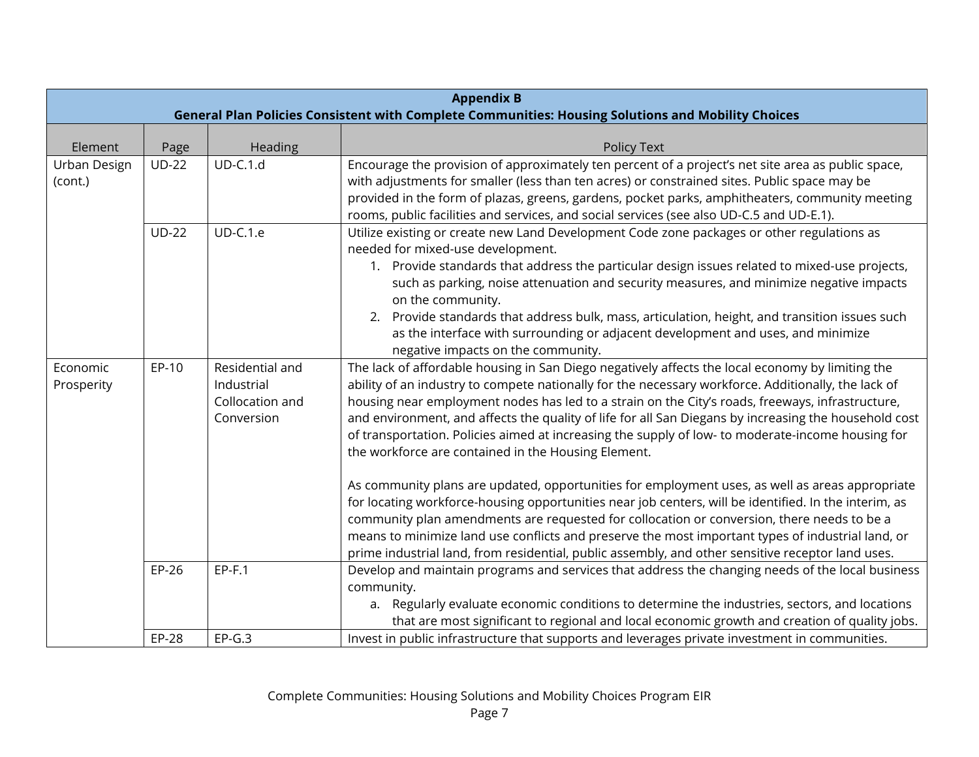|                         | <b>Appendix B</b><br>General Plan Policies Consistent with Complete Communities: Housing Solutions and Mobility Choices |                                                                |                                                                                                                                                                                                                                                                                                                                                                                                                                                                                                                                                                                                                                                                                                                                                                                                                                                                                                                                                                                                                                                                                                      |  |
|-------------------------|-------------------------------------------------------------------------------------------------------------------------|----------------------------------------------------------------|------------------------------------------------------------------------------------------------------------------------------------------------------------------------------------------------------------------------------------------------------------------------------------------------------------------------------------------------------------------------------------------------------------------------------------------------------------------------------------------------------------------------------------------------------------------------------------------------------------------------------------------------------------------------------------------------------------------------------------------------------------------------------------------------------------------------------------------------------------------------------------------------------------------------------------------------------------------------------------------------------------------------------------------------------------------------------------------------------|--|
| Element                 | Page                                                                                                                    | Heading                                                        | Policy Text                                                                                                                                                                                                                                                                                                                                                                                                                                                                                                                                                                                                                                                                                                                                                                                                                                                                                                                                                                                                                                                                                          |  |
| Urban Design<br>(cont.) | $UD-22$                                                                                                                 | $UD-C.1.d$                                                     | Encourage the provision of approximately ten percent of a project's net site area as public space,<br>with adjustments for smaller (less than ten acres) or constrained sites. Public space may be<br>provided in the form of plazas, greens, gardens, pocket parks, amphitheaters, community meeting<br>rooms, public facilities and services, and social services (see also UD-C.5 and UD-E.1).                                                                                                                                                                                                                                                                                                                                                                                                                                                                                                                                                                                                                                                                                                    |  |
|                         | <b>UD-22</b>                                                                                                            | <b>UD-C.1.e</b>                                                | Utilize existing or create new Land Development Code zone packages or other regulations as<br>needed for mixed-use development.<br>1. Provide standards that address the particular design issues related to mixed-use projects,<br>such as parking, noise attenuation and security measures, and minimize negative impacts<br>on the community.<br>2. Provide standards that address bulk, mass, articulation, height, and transition issues such<br>as the interface with surrounding or adjacent development and uses, and minimize<br>negative impacts on the community.                                                                                                                                                                                                                                                                                                                                                                                                                                                                                                                         |  |
| Economic<br>Prosperity  | EP-10                                                                                                                   | Residential and<br>Industrial<br>Collocation and<br>Conversion | The lack of affordable housing in San Diego negatively affects the local economy by limiting the<br>ability of an industry to compete nationally for the necessary workforce. Additionally, the lack of<br>housing near employment nodes has led to a strain on the City's roads, freeways, infrastructure,<br>and environment, and affects the quality of life for all San Diegans by increasing the household cost<br>of transportation. Policies aimed at increasing the supply of low- to moderate-income housing for<br>the workforce are contained in the Housing Element.<br>As community plans are updated, opportunities for employment uses, as well as areas appropriate<br>for locating workforce-housing opportunities near job centers, will be identified. In the interim, as<br>community plan amendments are requested for collocation or conversion, there needs to be a<br>means to minimize land use conflicts and preserve the most important types of industrial land, or<br>prime industrial land, from residential, public assembly, and other sensitive receptor land uses. |  |
|                         | EP-26                                                                                                                   | $EP-F.1$                                                       | Develop and maintain programs and services that address the changing needs of the local business<br>community.<br>a. Regularly evaluate economic conditions to determine the industries, sectors, and locations<br>that are most significant to regional and local economic growth and creation of quality jobs.                                                                                                                                                                                                                                                                                                                                                                                                                                                                                                                                                                                                                                                                                                                                                                                     |  |
|                         | EP-28                                                                                                                   | $EP-G.3$                                                       | Invest in public infrastructure that supports and leverages private investment in communities.                                                                                                                                                                                                                                                                                                                                                                                                                                                                                                                                                                                                                                                                                                                                                                                                                                                                                                                                                                                                       |  |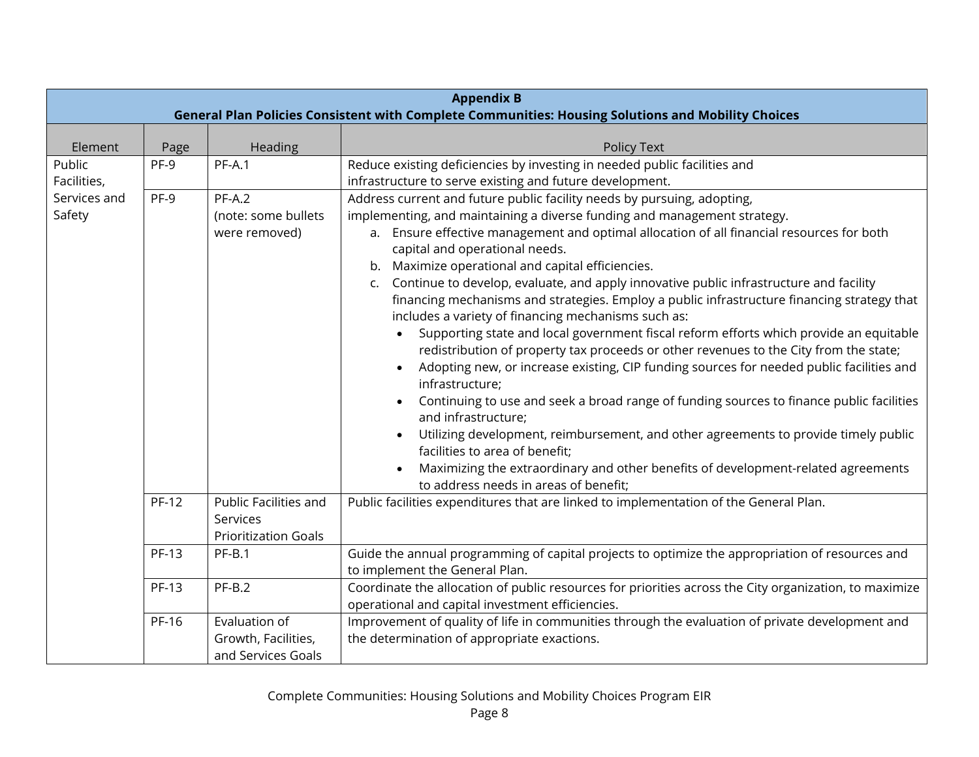|                        | <b>Appendix B</b><br>General Plan Policies Consistent with Complete Communities: Housing Solutions and Mobility Choices |                                                                  |                                                                                                                                                                                                                                                                                                                                                                                                                                                                                                                                                                                                                                                                                                                                                                                                                                                                                                                                                                                                                                                                                                                                                                                                                                                                              |  |
|------------------------|-------------------------------------------------------------------------------------------------------------------------|------------------------------------------------------------------|------------------------------------------------------------------------------------------------------------------------------------------------------------------------------------------------------------------------------------------------------------------------------------------------------------------------------------------------------------------------------------------------------------------------------------------------------------------------------------------------------------------------------------------------------------------------------------------------------------------------------------------------------------------------------------------------------------------------------------------------------------------------------------------------------------------------------------------------------------------------------------------------------------------------------------------------------------------------------------------------------------------------------------------------------------------------------------------------------------------------------------------------------------------------------------------------------------------------------------------------------------------------------|--|
| Element                | Page                                                                                                                    | Heading                                                          | <b>Policy Text</b>                                                                                                                                                                                                                                                                                                                                                                                                                                                                                                                                                                                                                                                                                                                                                                                                                                                                                                                                                                                                                                                                                                                                                                                                                                                           |  |
| Public<br>Facilities,  | PF-9                                                                                                                    | $PF-A.1$                                                         | Reduce existing deficiencies by investing in needed public facilities and<br>infrastructure to serve existing and future development.                                                                                                                                                                                                                                                                                                                                                                                                                                                                                                                                                                                                                                                                                                                                                                                                                                                                                                                                                                                                                                                                                                                                        |  |
| Services and<br>Safety | PF-9                                                                                                                    | $PF-A.2$<br>(note: some bullets<br>were removed)                 | Address current and future public facility needs by pursuing, adopting,<br>implementing, and maintaining a diverse funding and management strategy.<br>a. Ensure effective management and optimal allocation of all financial resources for both<br>capital and operational needs.<br>Maximize operational and capital efficiencies.<br>b.<br>Continue to develop, evaluate, and apply innovative public infrastructure and facility<br>C.<br>financing mechanisms and strategies. Employ a public infrastructure financing strategy that<br>includes a variety of financing mechanisms such as:<br>Supporting state and local government fiscal reform efforts which provide an equitable<br>redistribution of property tax proceeds or other revenues to the City from the state;<br>Adopting new, or increase existing, CIP funding sources for needed public facilities and<br>infrastructure;<br>Continuing to use and seek a broad range of funding sources to finance public facilities<br>and infrastructure;<br>Utilizing development, reimbursement, and other agreements to provide timely public<br>facilities to area of benefit;<br>Maximizing the extraordinary and other benefits of development-related agreements<br>to address needs in areas of benefit; |  |
|                        | <b>PF-12</b>                                                                                                            | Public Facilities and<br>Services<br><b>Prioritization Goals</b> | Public facilities expenditures that are linked to implementation of the General Plan.                                                                                                                                                                                                                                                                                                                                                                                                                                                                                                                                                                                                                                                                                                                                                                                                                                                                                                                                                                                                                                                                                                                                                                                        |  |
|                        | <b>PF-13</b>                                                                                                            | $PF-B.1$                                                         | Guide the annual programming of capital projects to optimize the appropriation of resources and<br>to implement the General Plan.                                                                                                                                                                                                                                                                                                                                                                                                                                                                                                                                                                                                                                                                                                                                                                                                                                                                                                                                                                                                                                                                                                                                            |  |
|                        | <b>PF-13</b>                                                                                                            | $PF-B.2$                                                         | Coordinate the allocation of public resources for priorities across the City organization, to maximize<br>operational and capital investment efficiencies.                                                                                                                                                                                                                                                                                                                                                                                                                                                                                                                                                                                                                                                                                                                                                                                                                                                                                                                                                                                                                                                                                                                   |  |
|                        | PF-16                                                                                                                   | Evaluation of<br>Growth, Facilities,<br>and Services Goals       | Improvement of quality of life in communities through the evaluation of private development and<br>the determination of appropriate exactions.                                                                                                                                                                                                                                                                                                                                                                                                                                                                                                                                                                                                                                                                                                                                                                                                                                                                                                                                                                                                                                                                                                                               |  |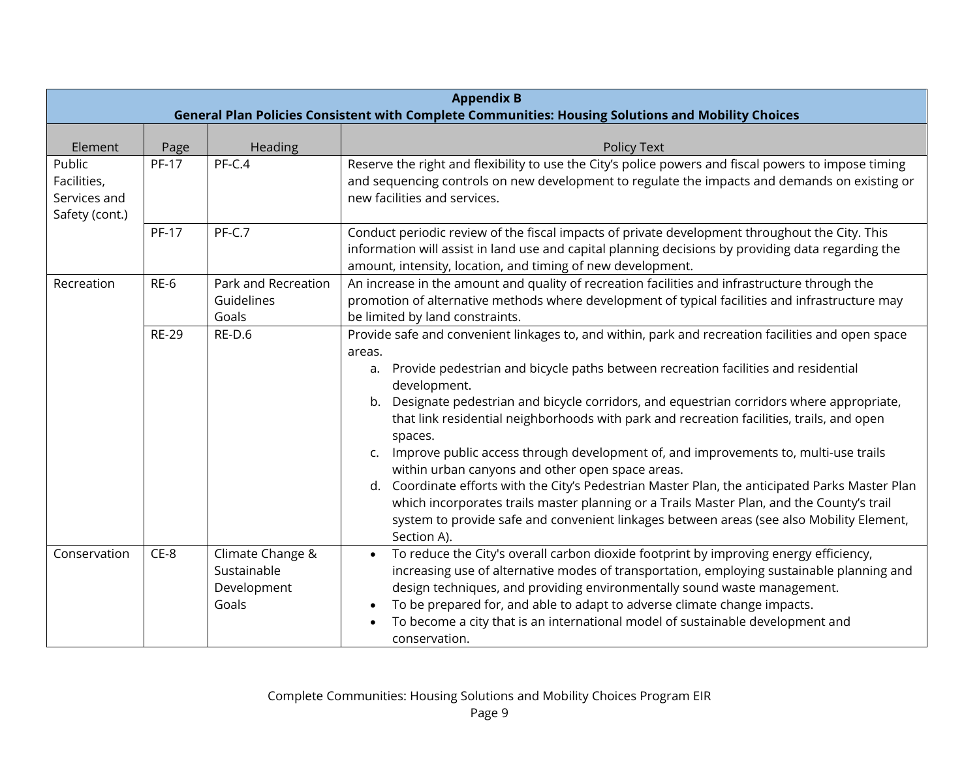|                                                         | <b>Appendix B</b><br>General Plan Policies Consistent with Complete Communities: Housing Solutions and Mobility Choices |                                                         |                                                                                                                                                                                                                                                                                                                                                                                                                                                                                                                                                                                                                                                                                                                                                                                                                                                                                                              |  |
|---------------------------------------------------------|-------------------------------------------------------------------------------------------------------------------------|---------------------------------------------------------|--------------------------------------------------------------------------------------------------------------------------------------------------------------------------------------------------------------------------------------------------------------------------------------------------------------------------------------------------------------------------------------------------------------------------------------------------------------------------------------------------------------------------------------------------------------------------------------------------------------------------------------------------------------------------------------------------------------------------------------------------------------------------------------------------------------------------------------------------------------------------------------------------------------|--|
| Element                                                 | Page                                                                                                                    | Heading                                                 | <b>Policy Text</b>                                                                                                                                                                                                                                                                                                                                                                                                                                                                                                                                                                                                                                                                                                                                                                                                                                                                                           |  |
| Public<br>Facilities,<br>Services and<br>Safety (cont.) | <b>PF-17</b>                                                                                                            | PF-C.4                                                  | Reserve the right and flexibility to use the City's police powers and fiscal powers to impose timing<br>and sequencing controls on new development to regulate the impacts and demands on existing or<br>new facilities and services.                                                                                                                                                                                                                                                                                                                                                                                                                                                                                                                                                                                                                                                                        |  |
|                                                         | <b>PF-17</b>                                                                                                            | PF-C.7                                                  | Conduct periodic review of the fiscal impacts of private development throughout the City. This<br>information will assist in land use and capital planning decisions by providing data regarding the<br>amount, intensity, location, and timing of new development.                                                                                                                                                                                                                                                                                                                                                                                                                                                                                                                                                                                                                                          |  |
| Recreation                                              | $RE-6$                                                                                                                  | Park and Recreation<br>Guidelines<br>Goals              | An increase in the amount and quality of recreation facilities and infrastructure through the<br>promotion of alternative methods where development of typical facilities and infrastructure may<br>be limited by land constraints.                                                                                                                                                                                                                                                                                                                                                                                                                                                                                                                                                                                                                                                                          |  |
|                                                         | <b>RE-29</b>                                                                                                            | RE-D.6                                                  | Provide safe and convenient linkages to, and within, park and recreation facilities and open space<br>areas.<br>Provide pedestrian and bicycle paths between recreation facilities and residential<br>a.<br>development.<br>Designate pedestrian and bicycle corridors, and equestrian corridors where appropriate,<br>b.<br>that link residential neighborhoods with park and recreation facilities, trails, and open<br>spaces.<br>Improve public access through development of, and improvements to, multi-use trails<br>C <sub>1</sub><br>within urban canyons and other open space areas.<br>Coordinate efforts with the City's Pedestrian Master Plan, the anticipated Parks Master Plan<br>d.<br>which incorporates trails master planning or a Trails Master Plan, and the County's trail<br>system to provide safe and convenient linkages between areas (see also Mobility Element,<br>Section A). |  |
| Conservation                                            | $CE-8$                                                                                                                  | Climate Change &<br>Sustainable<br>Development<br>Goals | To reduce the City's overall carbon dioxide footprint by improving energy efficiency,<br>increasing use of alternative modes of transportation, employing sustainable planning and<br>design techniques, and providing environmentally sound waste management.<br>To be prepared for, and able to adapt to adverse climate change impacts.<br>To become a city that is an international model of sustainable development and<br>conservation.                                                                                                                                                                                                                                                                                                                                                                                                                                                                |  |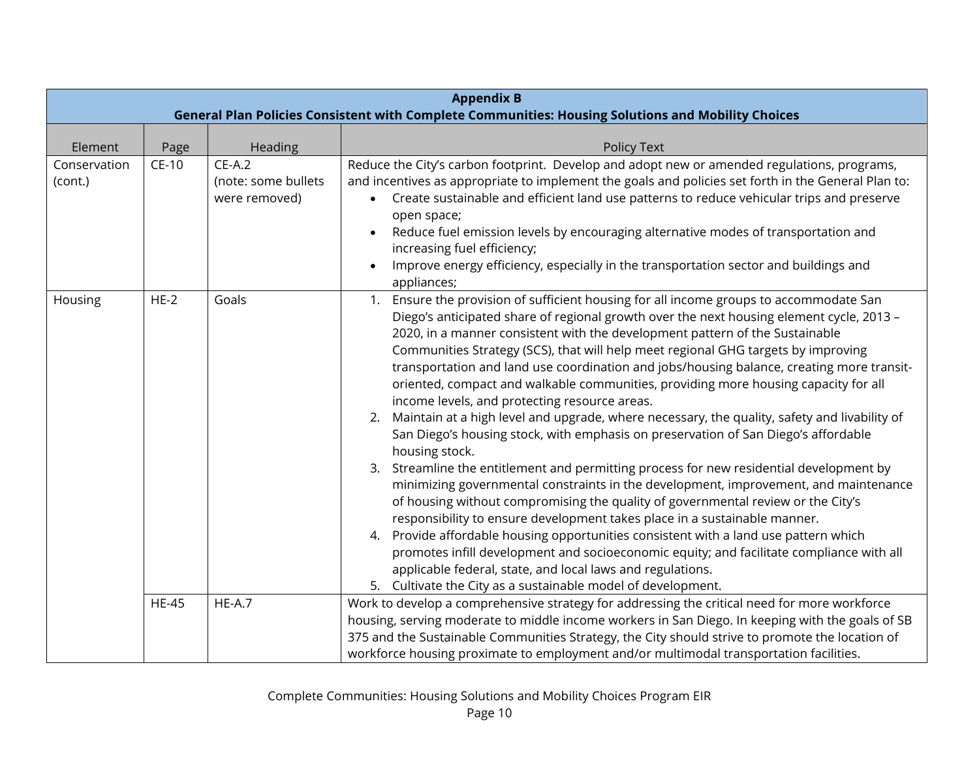|                         | <b>Appendix B</b><br>General Plan Policies Consistent with Complete Communities: Housing Solutions and Mobility Choices |                                                  |                                                                                                                                                                                                                                                                                                                                                                                                                                                                                                                                                                                                                                                                                                                                                                                                                                                                                                                                                                                                                                                                                                                                                                                                                                                                                                                                                                                                                                                                                     |  |
|-------------------------|-------------------------------------------------------------------------------------------------------------------------|--------------------------------------------------|-------------------------------------------------------------------------------------------------------------------------------------------------------------------------------------------------------------------------------------------------------------------------------------------------------------------------------------------------------------------------------------------------------------------------------------------------------------------------------------------------------------------------------------------------------------------------------------------------------------------------------------------------------------------------------------------------------------------------------------------------------------------------------------------------------------------------------------------------------------------------------------------------------------------------------------------------------------------------------------------------------------------------------------------------------------------------------------------------------------------------------------------------------------------------------------------------------------------------------------------------------------------------------------------------------------------------------------------------------------------------------------------------------------------------------------------------------------------------------------|--|
| Element                 | Page                                                                                                                    | Heading                                          | Policy Text                                                                                                                                                                                                                                                                                                                                                                                                                                                                                                                                                                                                                                                                                                                                                                                                                                                                                                                                                                                                                                                                                                                                                                                                                                                                                                                                                                                                                                                                         |  |
| Conservation<br>(cont.) | $CE-10$                                                                                                                 | $CE-A.2$<br>(note: some bullets<br>were removed) | Reduce the City's carbon footprint. Develop and adopt new or amended regulations, programs,<br>and incentives as appropriate to implement the goals and policies set forth in the General Plan to:<br>Create sustainable and efficient land use patterns to reduce vehicular trips and preserve<br>open space;<br>Reduce fuel emission levels by encouraging alternative modes of transportation and<br>increasing fuel efficiency;<br>Improve energy efficiency, especially in the transportation sector and buildings and<br>appliances;                                                                                                                                                                                                                                                                                                                                                                                                                                                                                                                                                                                                                                                                                                                                                                                                                                                                                                                                          |  |
| Housing                 | $HE-2$                                                                                                                  | Goals                                            | 1. Ensure the provision of sufficient housing for all income groups to accommodate San<br>Diego's anticipated share of regional growth over the next housing element cycle, 2013 -<br>2020, in a manner consistent with the development pattern of the Sustainable<br>Communities Strategy (SCS), that will help meet regional GHG targets by improving<br>transportation and land use coordination and jobs/housing balance, creating more transit-<br>oriented, compact and walkable communities, providing more housing capacity for all<br>income levels, and protecting resource areas.<br>Maintain at a high level and upgrade, where necessary, the quality, safety and livability of<br>2.<br>San Diego's housing stock, with emphasis on preservation of San Diego's affordable<br>housing stock.<br>Streamline the entitlement and permitting process for new residential development by<br>3.<br>minimizing governmental constraints in the development, improvement, and maintenance<br>of housing without compromising the quality of governmental review or the City's<br>responsibility to ensure development takes place in a sustainable manner.<br>4. Provide affordable housing opportunities consistent with a land use pattern which<br>promotes infill development and socioeconomic equity; and facilitate compliance with all<br>applicable federal, state, and local laws and regulations.<br>5. Cultivate the City as a sustainable model of development. |  |
|                         | <b>HE-45</b>                                                                                                            | $HE-A.7$                                         | Work to develop a comprehensive strategy for addressing the critical need for more workforce<br>housing, serving moderate to middle income workers in San Diego. In keeping with the goals of SB<br>375 and the Sustainable Communities Strategy, the City should strive to promote the location of<br>workforce housing proximate to employment and/or multimodal transportation facilities.                                                                                                                                                                                                                                                                                                                                                                                                                                                                                                                                                                                                                                                                                                                                                                                                                                                                                                                                                                                                                                                                                       |  |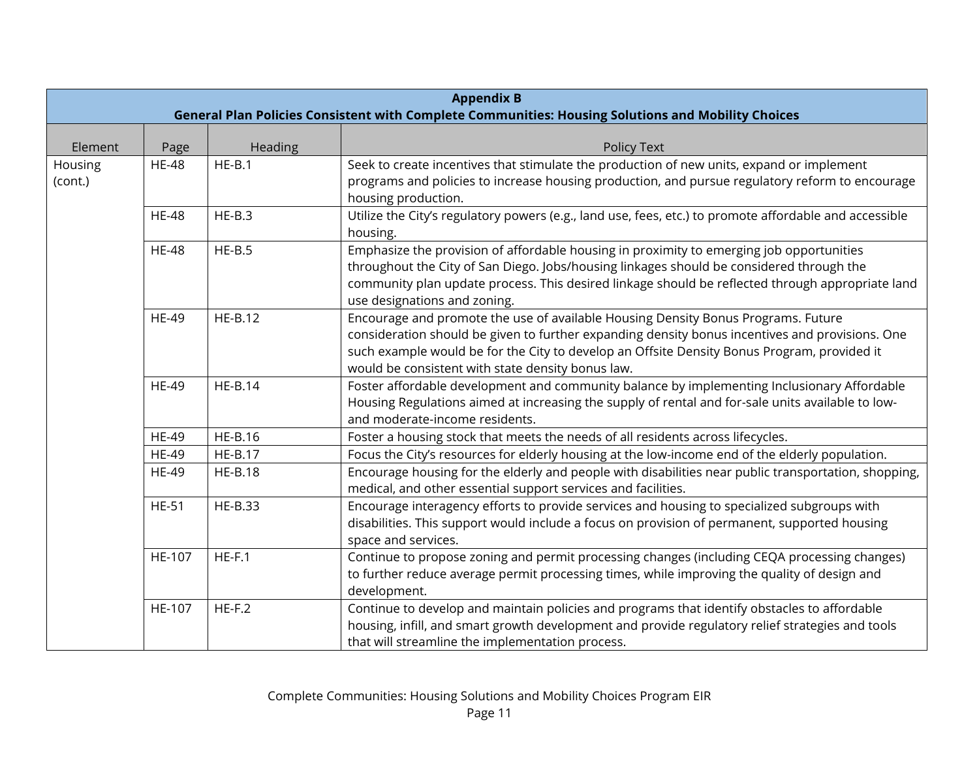|                    | <b>Appendix B</b><br>General Plan Policies Consistent with Complete Communities: Housing Solutions and Mobility Choices |                |                                                                                                                                                                                                                                                                                                                                          |  |
|--------------------|-------------------------------------------------------------------------------------------------------------------------|----------------|------------------------------------------------------------------------------------------------------------------------------------------------------------------------------------------------------------------------------------------------------------------------------------------------------------------------------------------|--|
| Element            | Page                                                                                                                    | Heading        | <b>Policy Text</b>                                                                                                                                                                                                                                                                                                                       |  |
| Housing<br>(cont.) | <b>HE-48</b>                                                                                                            | $HE-B.1$       | Seek to create incentives that stimulate the production of new units, expand or implement<br>programs and policies to increase housing production, and pursue regulatory reform to encourage<br>housing production.                                                                                                                      |  |
|                    | <b>HE-48</b>                                                                                                            | $HE-B.3$       | Utilize the City's regulatory powers (e.g., land use, fees, etc.) to promote affordable and accessible<br>housing.                                                                                                                                                                                                                       |  |
|                    | <b>HE-48</b>                                                                                                            | $HE-B.5$       | Emphasize the provision of affordable housing in proximity to emerging job opportunities<br>throughout the City of San Diego. Jobs/housing linkages should be considered through the<br>community plan update process. This desired linkage should be reflected through appropriate land<br>use designations and zoning.                 |  |
|                    | <b>HE-49</b>                                                                                                            | <b>HE-B.12</b> | Encourage and promote the use of available Housing Density Bonus Programs. Future<br>consideration should be given to further expanding density bonus incentives and provisions. One<br>such example would be for the City to develop an Offsite Density Bonus Program, provided it<br>would be consistent with state density bonus law. |  |
|                    | <b>HE-49</b>                                                                                                            | $HE-B.14$      | Foster affordable development and community balance by implementing Inclusionary Affordable<br>Housing Regulations aimed at increasing the supply of rental and for-sale units available to low-<br>and moderate-income residents.                                                                                                       |  |
|                    | <b>HE-49</b>                                                                                                            | <b>HE-B.16</b> | Foster a housing stock that meets the needs of all residents across lifecycles.                                                                                                                                                                                                                                                          |  |
|                    | <b>HE-49</b>                                                                                                            | <b>HE-B.17</b> | Focus the City's resources for elderly housing at the low-income end of the elderly population.                                                                                                                                                                                                                                          |  |
|                    | <b>HE-49</b>                                                                                                            | <b>HE-B.18</b> | Encourage housing for the elderly and people with disabilities near public transportation, shopping,<br>medical, and other essential support services and facilities.                                                                                                                                                                    |  |
|                    | <b>HE-51</b>                                                                                                            | <b>HE-B.33</b> | Encourage interagency efforts to provide services and housing to specialized subgroups with<br>disabilities. This support would include a focus on provision of permanent, supported housing<br>space and services.                                                                                                                      |  |
|                    | HE-107                                                                                                                  | $HE-F.1$       | Continue to propose zoning and permit processing changes (including CEQA processing changes)<br>to further reduce average permit processing times, while improving the quality of design and<br>development.                                                                                                                             |  |
|                    | HE-107                                                                                                                  | $HE-F.2$       | Continue to develop and maintain policies and programs that identify obstacles to affordable<br>housing, infill, and smart growth development and provide regulatory relief strategies and tools<br>that will streamline the implementation process.                                                                                     |  |